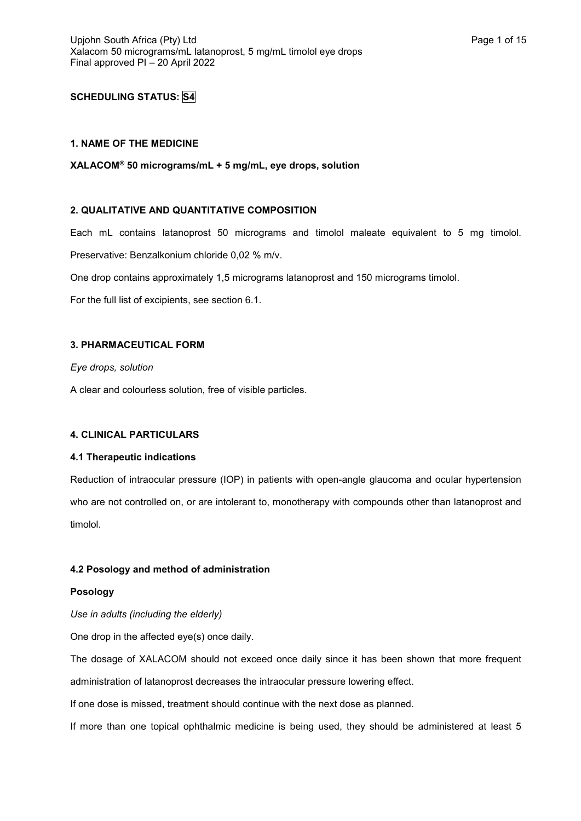# **SCHEDULING STATUS: S4**

# **1. NAME OF THE MEDICINE**

**XALACOM® 50 micrograms/mL + 5 mg/mL, eye drops, solution**

# **2. QUALITATIVE AND QUANTITATIVE COMPOSITION**

Each mL contains latanoprost 50 micrograms and timolol maleate equivalent to 5 mg timolol.

Preservative: Benzalkonium chloride 0,02 % m/v.

One drop contains approximately 1,5 micrograms latanoprost and 150 micrograms timolol.

For the full list of excipients, see section 6.1.

### **3. PHARMACEUTICAL FORM**

*Eye drops, solution*

A clear and colourless solution, free of visible particles.

# **4. CLINICAL PARTICULARS**

# **4.1 Therapeutic indications**

Reduction of intraocular pressure (IOP) in patients with open-angle glaucoma and ocular hypertension who are not controlled on, or are intolerant to, monotherapy with compounds other than latanoprost and timolol.

# **4.2 Posology and method of administration**

### **Posology**

*Use in adults (including the elderly)*

One drop in the affected eye(s) once daily.

The dosage of XALACOM should not exceed once daily since it has been shown that more frequent administration of latanoprost decreases the intraocular pressure lowering effect.

If one dose is missed, treatment should continue with the next dose as planned.

If more than one topical ophthalmic medicine is being used, they should be administered at least 5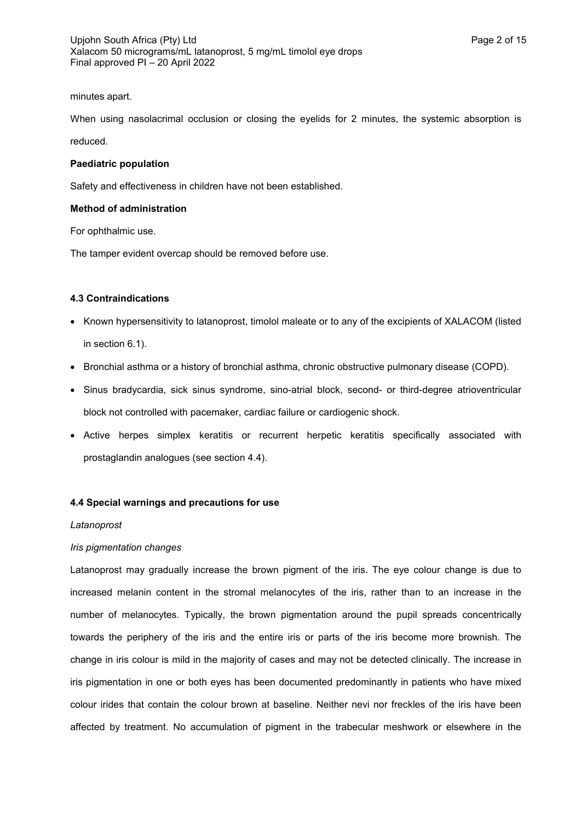### minutes apart.

When using nasolacrimal occlusion or closing the eyelids for 2 minutes, the systemic absorption is reduced.

### **Paediatric population**

Safety and effectiveness in children have not been established.

### **Method of administration**

For ophthalmic use.

The tamper evident overcap should be removed before use.

### **4.3 Contraindications**

- Known hypersensitivity to latanoprost, timolol maleate or to any of the excipients of XALACOM (listed in section 6.1).
- Bronchial asthma or a history of bronchial asthma, chronic obstructive pulmonary disease (COPD).
- Sinus bradycardia, sick sinus syndrome, sino-atrial block, second- or third-degree atrioventricular block not controlled with pacemaker, cardiac failure or cardiogenic shock.
- Active herpes simplex keratitis or recurrent herpetic keratitis specifically associated with prostaglandin analogues (see section 4.4).

# **4.4 Special warnings and precautions for use**

### *Latanoprost*

# *Iris pigmentation changes*

Latanoprost may gradually increase the brown pigment of the iris. The eye colour change is due to increased melanin content in the stromal melanocytes of the iris, rather than to an increase in the number of melanocytes. Typically, the brown pigmentation around the pupil spreads concentrically towards the periphery of the iris and the entire iris or parts of the iris become more brownish. The change in iris colour is mild in the majority of cases and may not be detected clinically. The increase in iris pigmentation in one or both eyes has been documented predominantly in patients who have mixed colour irides that contain the colour brown at baseline. Neither nevi nor freckles of the iris have been affected by treatment. No accumulation of pigment in the trabecular meshwork or elsewhere in the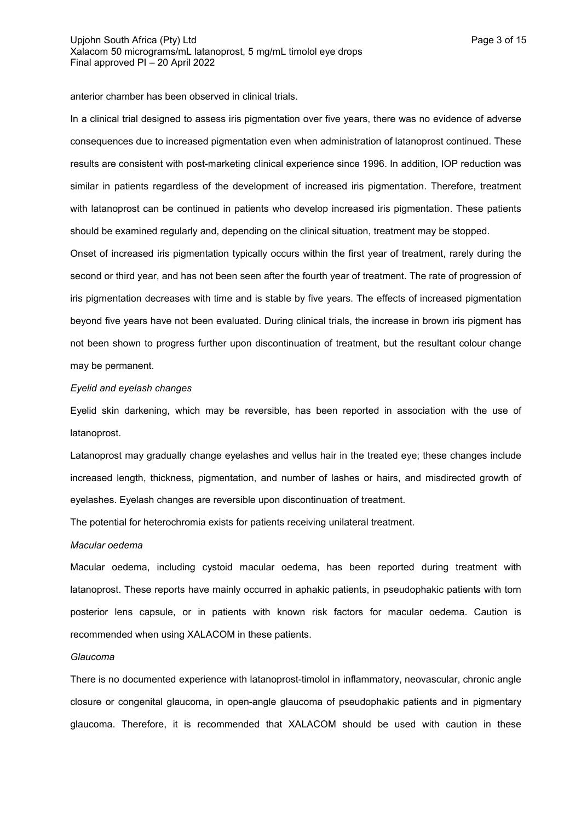anterior chamber has been observed in clinical trials.

In a clinical trial designed to assess iris pigmentation over five years, there was no evidence of adverse consequences due to increased pigmentation even when administration of latanoprost continued. These results are consistent with post-marketing clinical experience since 1996. In addition, IOP reduction was similar in patients regardless of the development of increased iris pigmentation. Therefore, treatment with latanoprost can be continued in patients who develop increased iris pigmentation. These patients should be examined regularly and, depending on the clinical situation, treatment may be stopped.

Onset of increased iris pigmentation typically occurs within the first year of treatment, rarely during the second or third year, and has not been seen after the fourth year of treatment. The rate of progression of iris pigmentation decreases with time and is stable by five years. The effects of increased pigmentation beyond five years have not been evaluated. During clinical trials, the increase in brown iris pigment has not been shown to progress further upon discontinuation of treatment, but the resultant colour change may be permanent.

### *Eyelid and eyelash changes*

Eyelid skin darkening, which may be reversible, has been reported in association with the use of latanoprost.

Latanoprost may gradually change eyelashes and vellus hair in the treated eye; these changes include increased length, thickness, pigmentation, and number of lashes or hairs, and misdirected growth of eyelashes. Eyelash changes are reversible upon discontinuation of treatment.

The potential for heterochromia exists for patients receiving unilateral treatment.

#### *Macular oedema*

Macular oedema, including cystoid macular oedema, has been reported during treatment with latanoprost. These reports have mainly occurred in aphakic patients, in pseudophakic patients with torn posterior lens capsule, or in patients with known risk factors for macular oedema. Caution is recommended when using XALACOM in these patients.

### *Glaucoma*

There is no documented experience with latanoprost-timolol in inflammatory, neovascular, chronic angle closure or congenital glaucoma, in open-angle glaucoma of pseudophakic patients and in pigmentary glaucoma. Therefore, it is recommended that XALACOM should be used with caution in these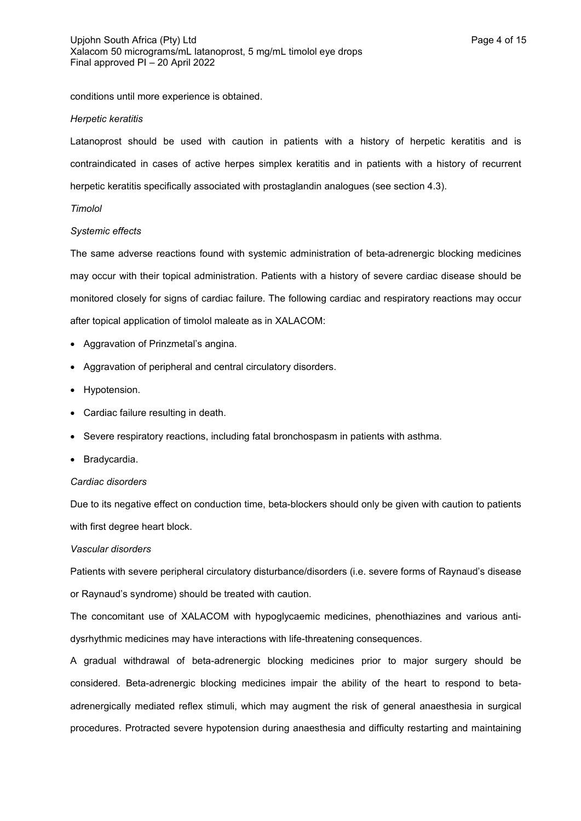conditions until more experience is obtained.

### *Herpetic keratitis*

Latanoprost should be used with caution in patients with a history of herpetic keratitis and is contraindicated in cases of active herpes simplex keratitis and in patients with a history of recurrent herpetic keratitis specifically associated with prostaglandin analogues (see section 4.3).

# *Timolol*

### *Systemic effects*

The same adverse reactions found with systemic administration of beta-adrenergic blocking medicines may occur with their topical administration. Patients with a history of severe cardiac disease should be monitored closely for signs of cardiac failure. The following cardiac and respiratory reactions may occur after topical application of timolol maleate as in XALACOM:

- Aggravation of Prinzmetal's angina.
- Aggravation of peripheral and central circulatory disorders.
- Hypotension.
- Cardiac failure resulting in death.
- Severe respiratory reactions, including fatal bronchospasm in patients with asthma.
- Bradycardia.

# *Cardiac disorders*

Due to its negative effect on conduction time, beta-blockers should only be given with caution to patients with first degree heart block.

# *Vascular disorders*

Patients with severe peripheral circulatory disturbance/disorders (i.e. severe forms of Raynaud's disease or Raynaud's syndrome) should be treated with caution.

The concomitant use of XALACOM with hypoglycaemic medicines, phenothiazines and various antidysrhythmic medicines may have interactions with life-threatening consequences.

A gradual withdrawal of beta-adrenergic blocking medicines prior to major surgery should be considered. Beta-adrenergic blocking medicines impair the ability of the heart to respond to betaadrenergically mediated reflex stimuli, which may augment the risk of general anaesthesia in surgical procedures. Protracted severe hypotension during anaesthesia and difficulty restarting and maintaining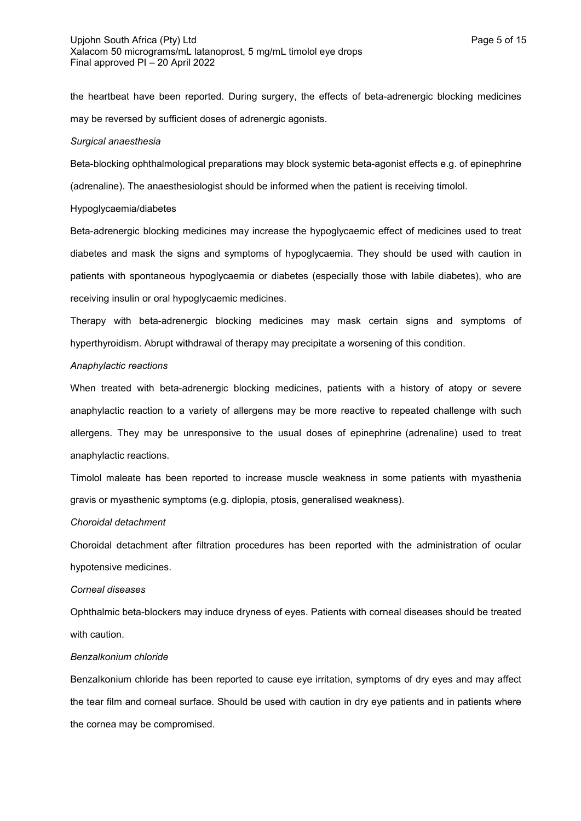the heartbeat have been reported. During surgery, the effects of beta-adrenergic blocking medicines may be reversed by sufficient doses of adrenergic agonists.

#### *Surgical anaesthesia*

Beta-blocking ophthalmological preparations may block systemic beta-agonist effects e.g. of epinephrine (adrenaline). The anaesthesiologist should be informed when the patient is receiving timolol.

### Hypoglycaemia/diabetes

Beta-adrenergic blocking medicines may increase the hypoglycaemic effect of medicines used to treat diabetes and mask the signs and symptoms of hypoglycaemia. They should be used with caution in patients with spontaneous hypoglycaemia or diabetes (especially those with labile diabetes), who are receiving insulin or oral hypoglycaemic medicines.

Therapy with beta-adrenergic blocking medicines may mask certain signs and symptoms of hyperthyroidism. Abrupt withdrawal of therapy may precipitate a worsening of this condition.

#### *Anaphylactic reactions*

When treated with beta-adrenergic blocking medicines, patients with a history of atopy or severe anaphylactic reaction to a variety of allergens may be more reactive to repeated challenge with such allergens. They may be unresponsive to the usual doses of epinephrine (adrenaline) used to treat anaphylactic reactions.

Timolol maleate has been reported to increase muscle weakness in some patients with myasthenia gravis or myasthenic symptoms (e.g. diplopia, ptosis, generalised weakness).

### *Choroidal detachment*

Choroidal detachment after filtration procedures has been reported with the administration of ocular hypotensive medicines.

#### *Corneal diseases*

Ophthalmic beta-blockers may induce dryness of eyes. Patients with corneal diseases should be treated with caution.

# *Benzalkonium chloride*

Benzalkonium chloride has been reported to cause eye irritation, symptoms of dry eyes and may affect the tear film and corneal surface. Should be used with caution in dry eye patients and in patients where the cornea may be compromised.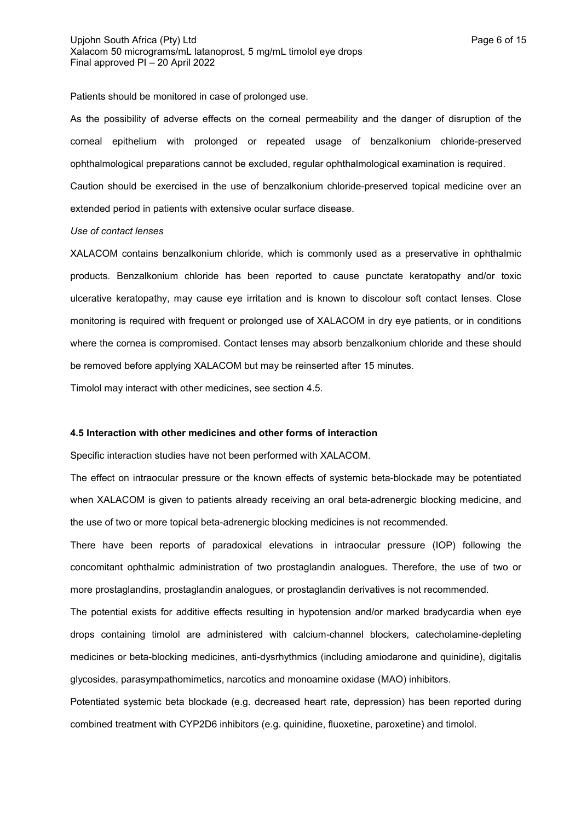Patients should be monitored in case of prolonged use.

As the possibility of adverse effects on the corneal permeability and the danger of disruption of the corneal epithelium with prolonged or repeated usage of benzalkonium chloride-preserved ophthalmological preparations cannot be excluded, regular ophthalmological examination is required. Caution should be exercised in the use of benzalkonium chloride-preserved topical medicine over an extended period in patients with extensive ocular surface disease.

### *Use of contact lenses*

XALACOM contains benzalkonium chloride, which is commonly used as a preservative in ophthalmic products. Benzalkonium chloride has been reported to cause punctate keratopathy and/or toxic ulcerative keratopathy, may cause eye irritation and is known to discolour soft contact lenses. Close monitoring is required with frequent or prolonged use of XALACOM in dry eye patients, or in conditions where the cornea is compromised. Contact lenses may absorb benzalkonium chloride and these should be removed before applying XALACOM but may be reinserted after 15 minutes.

Timolol may interact with other medicines, see section 4.5.

# **4.5 Interaction with other medicines and other forms of interaction**

Specific interaction studies have not been performed with XALACOM.

The effect on intraocular pressure or the known effects of systemic beta-blockade may be potentiated when XALACOM is given to patients already receiving an oral beta-adrenergic blocking medicine, and the use of two or more topical beta-adrenergic blocking medicines is not recommended.

There have been reports of paradoxical elevations in intraocular pressure (IOP) following the concomitant ophthalmic administration of two prostaglandin analogues. Therefore, the use of two or more prostaglandins, prostaglandin analogues, or prostaglandin derivatives is not recommended.

The potential exists for additive effects resulting in hypotension and/or marked bradycardia when eye drops containing timolol are administered with calcium-channel blockers, catecholamine-depleting medicines or beta-blocking medicines, anti-dysrhythmics (including amiodarone and quinidine), digitalis glycosides, parasympathomimetics, narcotics and monoamine oxidase (MAO) inhibitors.

Potentiated systemic beta blockade (e.g. decreased heart rate, depression) has been reported during combined treatment with CYP2D6 inhibitors (e.g. quinidine, fluoxetine, paroxetine) and timolol.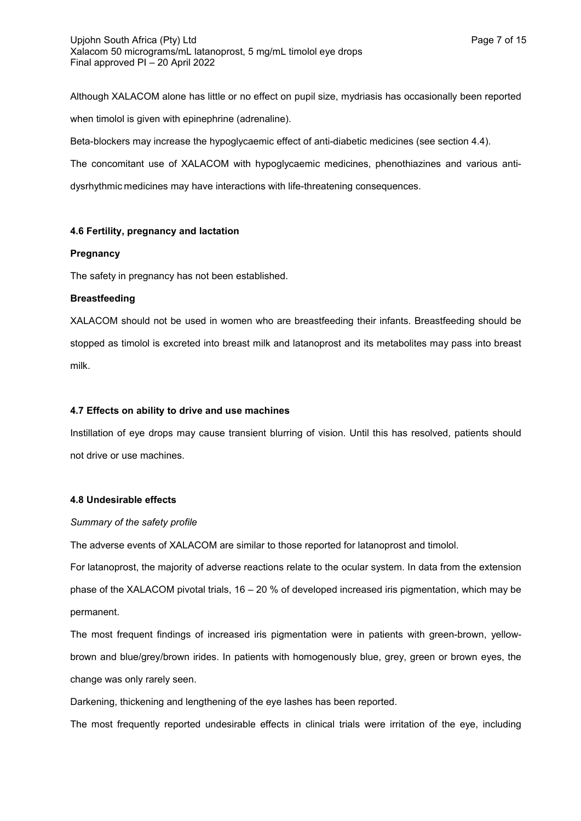Although XALACOM alone has little or no effect on pupil size, mydriasis has occasionally been reported when timolol is given with epinephrine (adrenaline).

Beta-blockers may increase the hypoglycaemic effect of anti-diabetic medicines (see section 4.4).

The concomitant use of XALACOM with hypoglycaemic medicines, phenothiazines and various antidysrhythmic medicines may have interactions with life-threatening consequences.

# **4.6 Fertility, pregnancy and lactation**

# **Pregnancy**

The safety in pregnancy has not been established.

# **Breastfeeding**

XALACOM should not be used in women who are breastfeeding their infants. Breastfeeding should be stopped as timolol is excreted into breast milk and latanoprost and its metabolites may pass into breast milk.

# **4.7 Effects on ability to drive and use machines**

Instillation of eye drops may cause transient blurring of vision. Until this has resolved, patients should not drive or use machines.

# **4.8 Undesirable effects**

# *Summary of the safety profile*

The adverse events of XALACOM are similar to those reported for latanoprost and timolol.

For latanoprost, the majority of adverse reactions relate to the ocular system. In data from the extension phase of the XALACOM pivotal trials, 16 – 20 % of developed increased iris pigmentation, which may be permanent.

The most frequent findings of increased iris pigmentation were in patients with green-brown, yellowbrown and blue/grey/brown irides. In patients with homogenously blue, grey, green or brown eyes, the change was only rarely seen.

Darkening, thickening and lengthening of the eye lashes has been reported.

The most frequently reported undesirable effects in clinical trials were irritation of the eye, including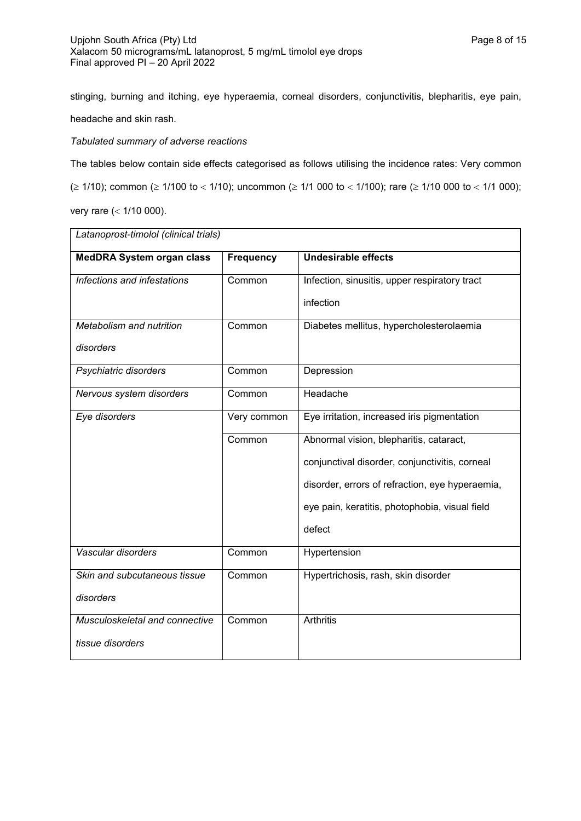stinging, burning and itching, eye hyperaemia, corneal disorders, conjunctivitis, blepharitis, eye pain, headache and skin rash.

# *Tabulated summary of adverse reactions*

The tables below contain side effects categorised as follows utilising the incidence rates: Very common  $(\geq 1/10)$ ; common ( $\geq 1/100$  to < 1/10); uncommon ( $\geq 1/1$  000 to < 1/100); rare ( $\geq 1/10$  000 to < 1/1 000); very rare  $( $1/10000$ ).$ 

| <b>MedDRA System organ class</b> | <b>Frequency</b> | <b>Undesirable effects</b>                      |  |  |
|----------------------------------|------------------|-------------------------------------------------|--|--|
| Infections and infestations      | Common           | Infection, sinusitis, upper respiratory tract   |  |  |
|                                  |                  | infection                                       |  |  |
| Metabolism and nutrition         | Common           | Diabetes mellitus, hypercholesterolaemia        |  |  |
| disorders                        |                  |                                                 |  |  |
| Psychiatric disorders            | Common           | Depression                                      |  |  |
| Nervous system disorders         | Common           | Headache                                        |  |  |
| Eye disorders                    | Very common      | Eye irritation, increased iris pigmentation     |  |  |
|                                  | Common           | Abnormal vision, blepharitis, cataract,         |  |  |
|                                  |                  | conjunctival disorder, conjunctivitis, corneal  |  |  |
|                                  |                  | disorder, errors of refraction, eye hyperaemia, |  |  |
|                                  |                  | eye pain, keratitis, photophobia, visual field  |  |  |
|                                  |                  | defect                                          |  |  |
| Vascular disorders               | Common           | Hypertension                                    |  |  |
| Skin and subcutaneous tissue     | Common           | Hypertrichosis, rash, skin disorder             |  |  |
| disorders                        |                  |                                                 |  |  |
| Musculoskeletal and connective   | Common           | <b>Arthritis</b>                                |  |  |
| tissue disorders                 |                  |                                                 |  |  |

*Latanoprost-timolol (clinical trials)*

٦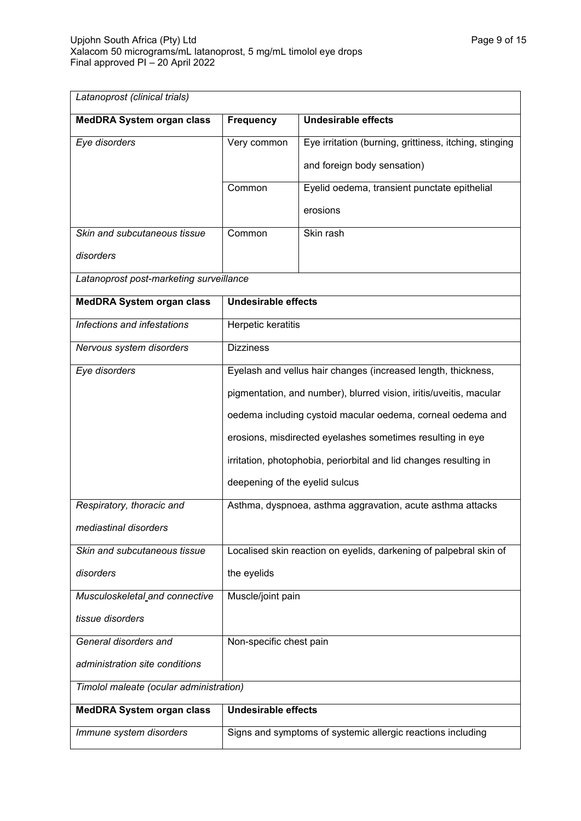| Latanoprost (clinical trials)           |                                                                    |                                                                    |  |
|-----------------------------------------|--------------------------------------------------------------------|--------------------------------------------------------------------|--|
| <b>MedDRA System organ class</b>        | <b>Frequency</b>                                                   | <b>Undesirable effects</b>                                         |  |
| Eye disorders                           | Very common                                                        | Eye irritation (burning, grittiness, itching, stinging             |  |
|                                         |                                                                    | and foreign body sensation)                                        |  |
|                                         | Common                                                             | Eyelid oedema, transient punctate epithelial                       |  |
|                                         |                                                                    | erosions                                                           |  |
| Skin and subcutaneous tissue            | Common                                                             | Skin rash                                                          |  |
| disorders                               |                                                                    |                                                                    |  |
| Latanoprost post-marketing surveillance |                                                                    |                                                                    |  |
| <b>MedDRA System organ class</b>        | <b>Undesirable effects</b>                                         |                                                                    |  |
| Infections and infestations             | <b>Herpetic keratitis</b>                                          |                                                                    |  |
| Nervous system disorders                | <b>Dizziness</b>                                                   |                                                                    |  |
| Eye disorders                           | Eyelash and vellus hair changes (increased length, thickness,      |                                                                    |  |
|                                         |                                                                    | pigmentation, and number), blurred vision, iritis/uveitis, macular |  |
|                                         |                                                                    | oedema including cystoid macular oedema, corneal oedema and        |  |
|                                         |                                                                    | erosions, misdirected eyelashes sometimes resulting in eye         |  |
|                                         |                                                                    | irritation, photophobia, periorbital and lid changes resulting in  |  |
|                                         | deepening of the eyelid sulcus                                     |                                                                    |  |
| Respiratory, thoracic and               |                                                                    | Asthma, dyspnoea, asthma aggravation, acute asthma attacks         |  |
| mediastinal disorders                   |                                                                    |                                                                    |  |
| Skin and subcutaneous tissue            | Localised skin reaction on eyelids, darkening of palpebral skin of |                                                                    |  |
| disorders                               | the eyelids                                                        |                                                                    |  |
| Musculoskeletal and connective          | Muscle/joint pain                                                  |                                                                    |  |
| tissue disorders                        |                                                                    |                                                                    |  |
| General disorders and                   | Non-specific chest pain                                            |                                                                    |  |
| administration site conditions          |                                                                    |                                                                    |  |
| Timolol maleate (ocular administration) |                                                                    |                                                                    |  |
| <b>MedDRA System organ class</b>        | <b>Undesirable effects</b>                                         |                                                                    |  |
| Immune system disorders                 |                                                                    | Signs and symptoms of systemic allergic reactions including        |  |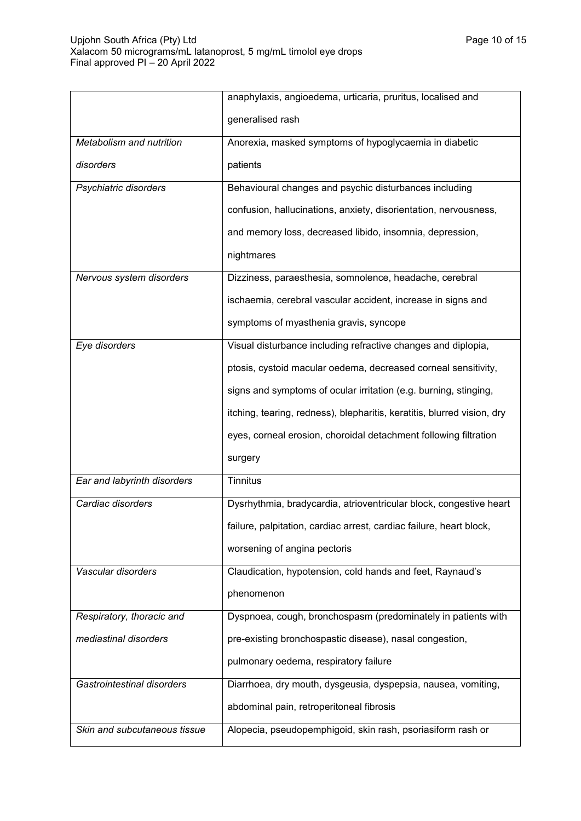|                              | anaphylaxis, angioedema, urticaria, pruritus, localised and             |  |
|------------------------------|-------------------------------------------------------------------------|--|
|                              | generalised rash                                                        |  |
| Metabolism and nutrition     | Anorexia, masked symptoms of hypoglycaemia in diabetic                  |  |
| disorders                    | patients                                                                |  |
| Psychiatric disorders        | Behavioural changes and psychic disturbances including                  |  |
|                              | confusion, hallucinations, anxiety, disorientation, nervousness,        |  |
|                              | and memory loss, decreased libido, insomnia, depression,                |  |
|                              | nightmares                                                              |  |
| Nervous system disorders     | Dizziness, paraesthesia, somnolence, headache, cerebral                 |  |
|                              | ischaemia, cerebral vascular accident, increase in signs and            |  |
|                              | symptoms of myasthenia gravis, syncope                                  |  |
| Eye disorders                | Visual disturbance including refractive changes and diplopia,           |  |
|                              | ptosis, cystoid macular oedema, decreased corneal sensitivity,          |  |
|                              | signs and symptoms of ocular irritation (e.g. burning, stinging,        |  |
|                              | itching, tearing, redness), blepharitis, keratitis, blurred vision, dry |  |
|                              | eyes, corneal erosion, choroidal detachment following filtration        |  |
|                              | surgery                                                                 |  |
| Ear and labyrinth disorders  | <b>Tinnitus</b>                                                         |  |
| Cardiac disorders            | Dysrhythmia, bradycardia, atrioventricular block, congestive heart      |  |
|                              | failure, palpitation, cardiac arrest, cardiac failure, heart block,     |  |
|                              | worsening of angina pectoris                                            |  |
| Vascular disorders           | Claudication, hypotension, cold hands and feet, Raynaud's               |  |
|                              | phenomenon                                                              |  |
| Respiratory, thoracic and    | Dyspnoea, cough, bronchospasm (predominately in patients with           |  |
| mediastinal disorders        | pre-existing bronchospastic disease), nasal congestion,                 |  |
|                              | pulmonary oedema, respiratory failure                                   |  |
| Gastrointestinal disorders   | Diarrhoea, dry mouth, dysgeusia, dyspepsia, nausea, vomiting,           |  |
|                              | abdominal pain, retroperitoneal fibrosis                                |  |
| Skin and subcutaneous tissue | Alopecia, pseudopemphigoid, skin rash, psoriasiform rash or             |  |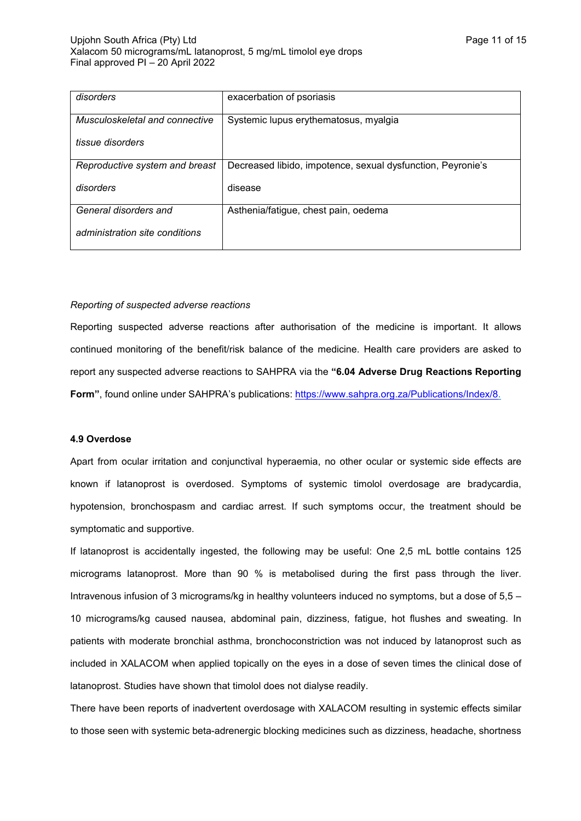| disorders                      | exacerbation of psoriasis                                   |
|--------------------------------|-------------------------------------------------------------|
| Musculoskeletal and connective | Systemic lupus erythematosus, myalgia                       |
| tissue disorders               |                                                             |
| Reproductive system and breast | Decreased libido, impotence, sexual dysfunction, Peyronie's |
| disorders                      | disease                                                     |
| General disorders and          | Asthenia/fatigue, chest pain, oedema                        |
| administration site conditions |                                                             |

# *Reporting of suspected adverse reactions*

Reporting suspected adverse reactions after authorisation of the medicine is important. It allows continued monitoring of the benefit/risk balance of the medicine. Health care providers are asked to report any suspected adverse reactions to SAHPRA via the **"6.04 Adverse Drug Reactions Reporting Form"**, found online under SAHPRA's publications: [https://www.sahpra.org.za/Publications/Index/8.](https://www.sahpra.org.za/Publications/Index/8)

# **4.9 Overdose**

Apart from ocular irritation and conjunctival hyperaemia, no other ocular or systemic side effects are known if latanoprost is overdosed. Symptoms of systemic timolol overdosage are bradycardia, hypotension, bronchospasm and cardiac arrest. If such symptoms occur, the treatment should be symptomatic and supportive.

If latanoprost is accidentally ingested, the following may be useful: One 2,5 mL bottle contains 125 micrograms latanoprost. More than 90 % is metabolised during the first pass through the liver. Intravenous infusion of 3 micrograms/kg in healthy volunteers induced no symptoms, but a dose of 5,5 – 10 micrograms/kg caused nausea, abdominal pain, dizziness, fatigue, hot flushes and sweating. In patients with moderate bronchial asthma, bronchoconstriction was not induced by latanoprost such as included in XALACOM when applied topically on the eyes in a dose of seven times the clinical dose of latanoprost. Studies have shown that timolol does not dialyse readily.

There have been reports of inadvertent overdosage with XALACOM resulting in systemic effects similar to those seen with systemic beta-adrenergic blocking medicines such as dizziness, headache, shortness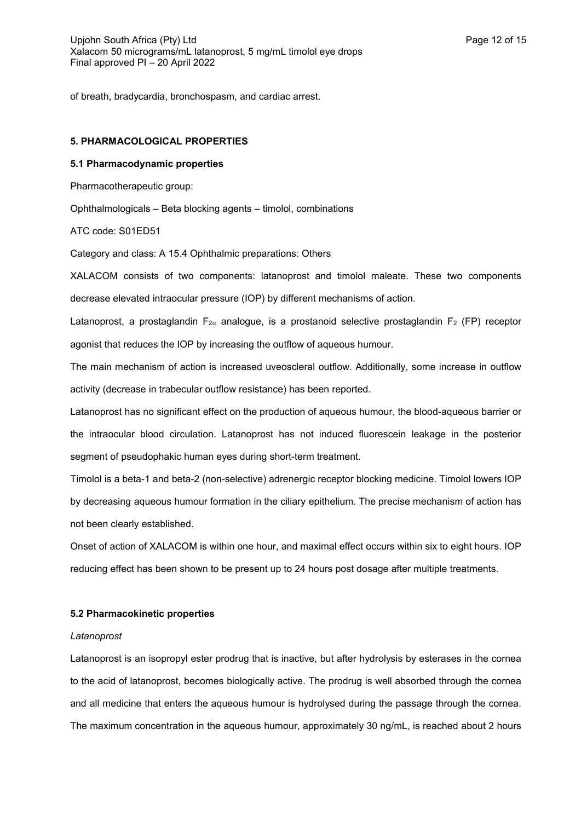of breath, bradycardia, bronchospasm, and cardiac arrest.

# **5. PHARMACOLOGICAL PROPERTIES**

# **5.1 Pharmacodynamic properties**

Pharmacotherapeutic group:

Ophthalmologicals – Beta blocking agents – timolol, combinations

ATC code: S01ED51

Category and class: A 15.4 Ophthalmic preparations: Others

XALACOM consists of two components: latanoprost and timolol maleate. These two components decrease elevated intraocular pressure (IOP) by different mechanisms of action.

Latanoprost, a prostaglandin  $F_{2\alpha}$  analogue, is a prostanoid selective prostaglandin  $F_2$  (FP) receptor agonist that reduces the IOP by increasing the outflow of aqueous humour.

The main mechanism of action is increased uveoscleral outflow. Additionally, some increase in outflow activity (decrease in trabecular outflow resistance) has been reported.

Latanoprost has no significant effect on the production of aqueous humour, the blood-aqueous barrier or the intraocular blood circulation. Latanoprost has not induced fluorescein leakage in the posterior segment of pseudophakic human eyes during short-term treatment.

Timolol is a beta-1 and beta-2 (non-selective) adrenergic receptor blocking medicine. Timolol lowers IOP by decreasing aqueous humour formation in the ciliary epithelium. The precise mechanism of action has not been clearly established.

Onset of action of XALACOM is within one hour, and maximal effect occurs within six to eight hours. IOP reducing effect has been shown to be present up to 24 hours post dosage after multiple treatments.

### **5.2 Pharmacokinetic properties**

#### *Latanoprost*

Latanoprost is an isopropyl ester prodrug that is inactive, but after hydrolysis by esterases in the cornea to the acid of latanoprost, becomes biologically active. The prodrug is well absorbed through the cornea and all medicine that enters the aqueous humour is hydrolysed during the passage through the cornea. The maximum concentration in the aqueous humour, approximately 30 ng/mL, is reached about 2 hours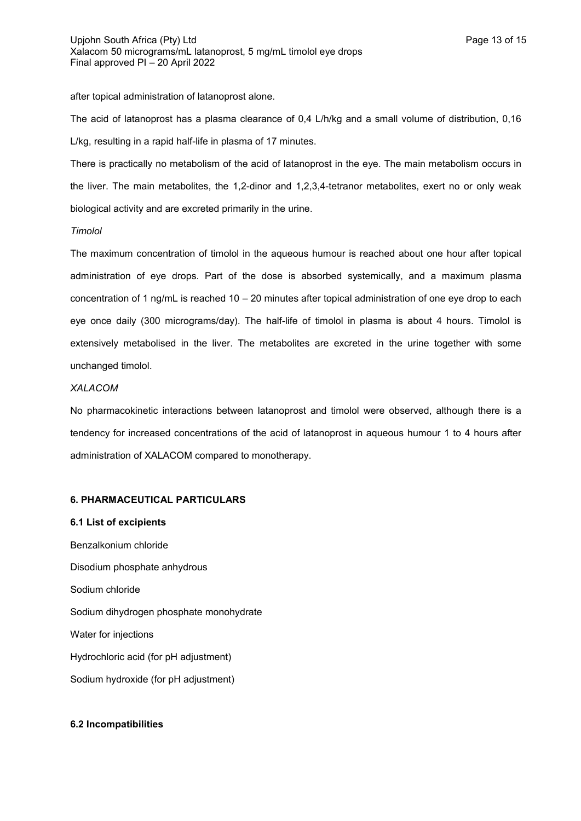after topical administration of latanoprost alone.

The acid of latanoprost has a plasma clearance of 0,4 L/h/kg and a small volume of distribution, 0,16 L/kg, resulting in a rapid half-life in plasma of 17 minutes.

There is practically no metabolism of the acid of latanoprost in the eye. The main metabolism occurs in the liver. The main metabolites, the 1,2-dinor and 1,2,3,4-tetranor metabolites, exert no or only weak biological activity and are excreted primarily in the urine.

# *Timolol*

The maximum concentration of timolol in the aqueous humour is reached about one hour after topical administration of eye drops. Part of the dose is absorbed systemically, and a maximum plasma concentration of 1 ng/mL is reached 10 – 20 minutes after topical administration of one eye drop to each eye once daily (300 micrograms/day). The half-life of timolol in plasma is about 4 hours. Timolol is extensively metabolised in the liver. The metabolites are excreted in the urine together with some unchanged timolol.

### *XALACOM*

No pharmacokinetic interactions between latanoprost and timolol were observed, although there is a tendency for increased concentrations of the acid of latanoprost in aqueous humour 1 to 4 hours after administration of XALACOM compared to monotherapy.

# **6. PHARMACEUTICAL PARTICULARS**

### **6.1 List of excipients**

Benzalkonium chloride Disodium phosphate anhydrous Sodium chloride Sodium dihydrogen phosphate monohydrate Water for injections Hydrochloric acid (for pH adjustment) Sodium hydroxide (for pH adjustment)

# **6.2 Incompatibilities**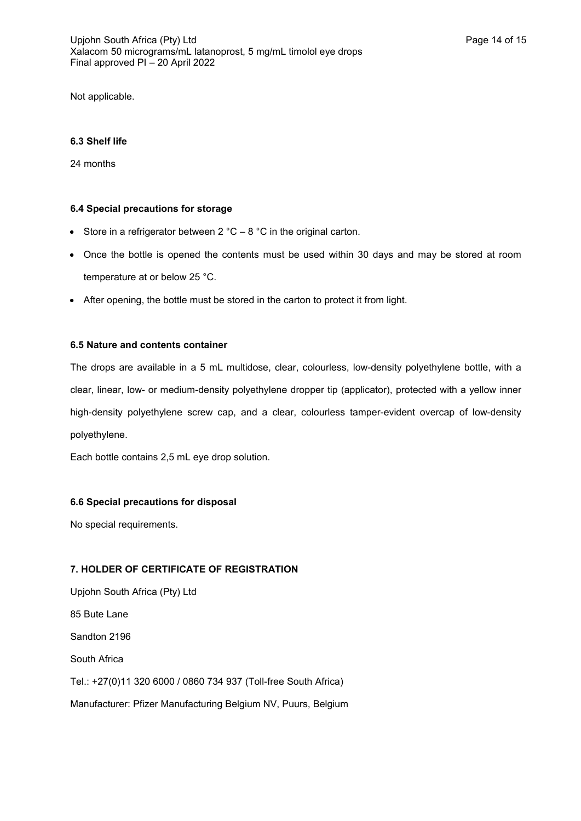Not applicable.

# **6.3 Shelf life**

24 months

# **6.4 Special precautions for storage**

- Store in a refrigerator between  $2^{\circ}C 8^{\circ}C$  in the original carton.
- Once the bottle is opened the contents must be used within 30 days and may be stored at room temperature at or below 25 °C.
- After opening, the bottle must be stored in the carton to protect it from light.

# **6.5 Nature and contents container**

The drops are available in a 5 mL multidose, clear, colourless, low-density polyethylene bottle, with a clear, linear, low- or medium-density polyethylene dropper tip (applicator), protected with a yellow inner high-density polyethylene screw cap, and a clear, colourless tamper-evident overcap of low-density polyethylene.

Each bottle contains 2,5 mL eye drop solution.

# **6.6 Special precautions for disposal**

No special requirements.

# **7. HOLDER OF CERTIFICATE OF REGISTRATION**

Upjohn South Africa (Pty) Ltd 85 Bute Lane Sandton 2196 South Africa Tel.: +27(0)11 320 6000 / 0860 734 937 (Toll-free South Africa) Manufacturer: Pfizer Manufacturing Belgium NV, Puurs, Belgium